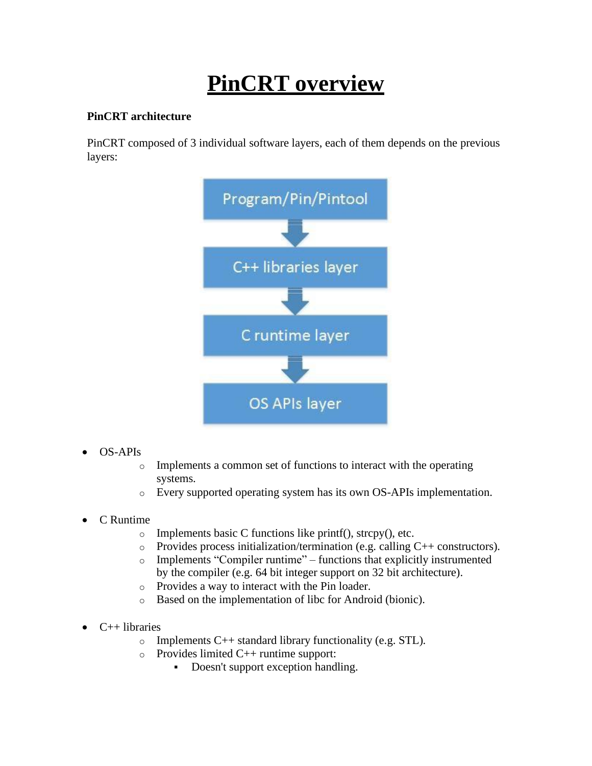# **PinCRT overview**

### **PinCRT architecture**

PinCRT composed of 3 individual software layers, each of them depends on the previous layers:



- OS-APIs
	- o Implements a common set of functions to interact with the operating systems.
	- o Every supported operating system has its own OS-APIs implementation.
- C Runtime
	- o Implements basic C functions like printf(), strcpy(), etc.
	- o Provides process initialization/termination (e.g. calling C++ constructors).
	- o Implements "Compiler runtime" functions that explicitly instrumented by the compiler (e.g. 64 bit integer support on 32 bit architecture).
	- o Provides a way to interact with the Pin loader.
	- o Based on the implementation of libc for Android (bionic).
- $\bullet$  C++ libraries
	- $\circ$  Implements C++ standard library functionality (e.g. STL).
	- o Provides limited C++ runtime support:
		- Doesn't support exception handling.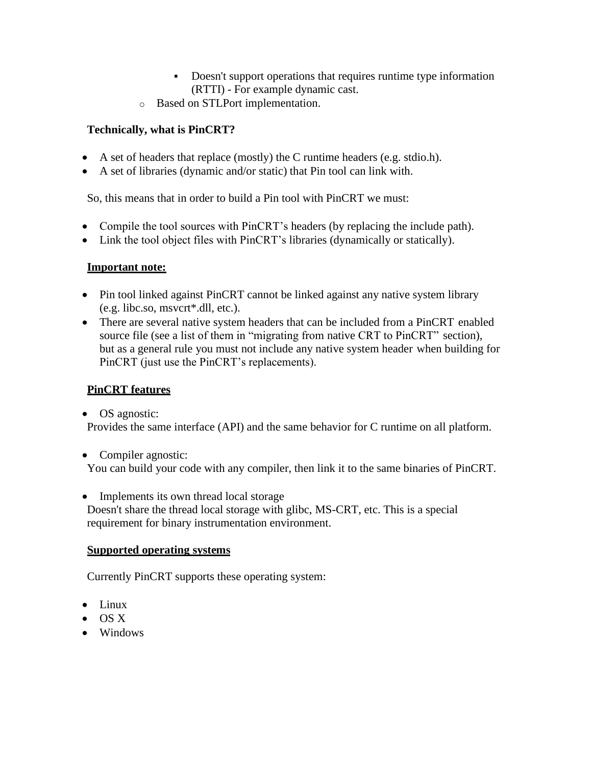- Doesn't support operations that requires runtime type information (RTTI) - For example dynamic cast.
- o Based on STLPort implementation.

### **Technically, what is PinCRT?**

- A set of headers that replace (mostly) the C runtime headers (e.g. stdio.h).
- A set of libraries (dynamic and/or static) that Pin tool can link with.

So, this means that in order to build a Pin tool with PinCRT we must:

- Compile the tool sources with PinCRT's headers (by replacing the include path).
- Link the tool object files with PinCRT's libraries (dynamically or statically).

### **Important note:**

- Pin tool linked against PinCRT cannot be linked against any native system library (e.g. libc.so, msvcrt\*.dll, etc.).
- There are several native system headers that can be included from a PinCRT enabled source file (see a list of them in "migrating from native CRT to PinCRT" section), but as a general rule you must not include any native system header when building for PinCRT (just use the PinCRT's replacements).

### **PinCRT features**

- OS agnostic: Provides the same interface (API) and the same behavior for C runtime on all platform.
- Compiler agnostic: You can build your code with any compiler, then link it to the same binaries of PinCRT.
- Implements its own thread local storage Doesn't share the thread local storage with glibc, MS-CRT, etc. This is a special requirement for binary instrumentation environment.

### **Supported operating systems**

Currently PinCRT supports these operating system:

- Linux
- $\bullet$  OS X
- Windows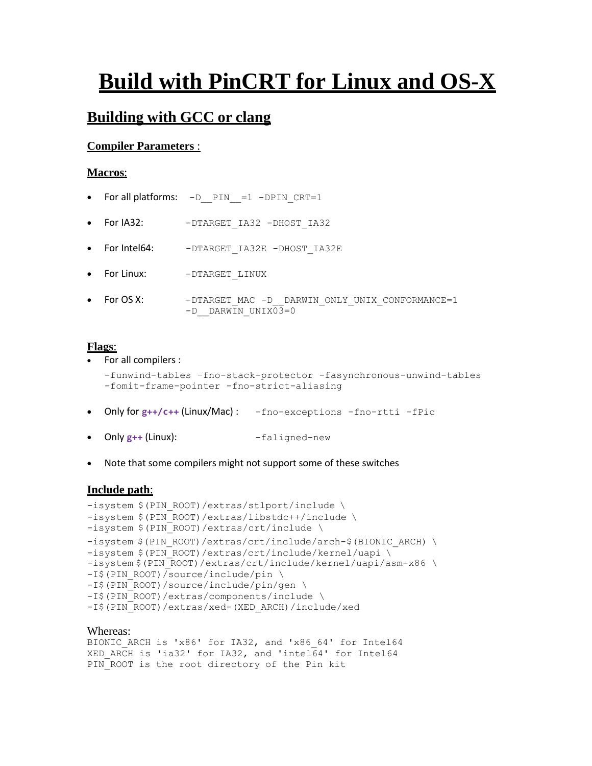# **Build with PinCRT for Linux and OS-X**

# **Building with GCC or clang**

### **Compiler Parameters** :

### **Macros**:

- For all platforms: -D PIN =1 -DPIN CRT=1
- For IA32: DTARGET IA32 DHOST IA32
- For Intel64: DTARGET\_IA32E -DHOST\_IA32E
- For Linux: DTARGET LINUX
- For OS X: -DTARGET\_MAC -D\_\_DARWIN\_ONLY\_UNIX\_CONFORMANCE=1 -D\_\_DARWIN\_UNIX03=0

### **Flags**:

• For all compilers :

```
 -funwind-tables –fno-stack-protector -fasynchronous-unwind-tables
 -fomit-frame-pointer -fno-strict-aliasing
```
- Only for **g++/c++** (Linux/Mac) : -fno-exceptions -fno-rtti -fPic
- Only  $g++$  (Linux): -faligned-new
- Note that some compilers might not support some of these switches

### **Include path**:

```
-isystem $(PIN_ROOT)/extras/stlport/include \
-isystem $(PIN_ROOT)/extras/libstdc++/include \
-isystem $(PIN ROOT)/extras/crt/include \
-isystem $(PIN_ROOT)/extras/crt/include/arch-$(BIONIC_ARCH) \
-isystem $(PIN_ROOT)/extras/crt/include/kernel/uapi \
-isystem $(PIN_ROOT)/extras/crt/include/kernel/uapi/asm-x86 \
-I$(PIN ROOT)/source/include/pin \
-I$(PIN_ROOT)/source/include/pin/gen \
-I$(PIN_ROOT)/extras/components/include \
-I$(PIN_ROOT)/extras/xed-(XED_ARCH)/include/xed
```
### Whereas:

BIONIC ARCH is 'x86' for IA32, and 'x86 64' for Intel64 XED ARCH is 'ia32' for IA32, and 'intel64' for Intel64 PIN ROOT is the root directory of the Pin kit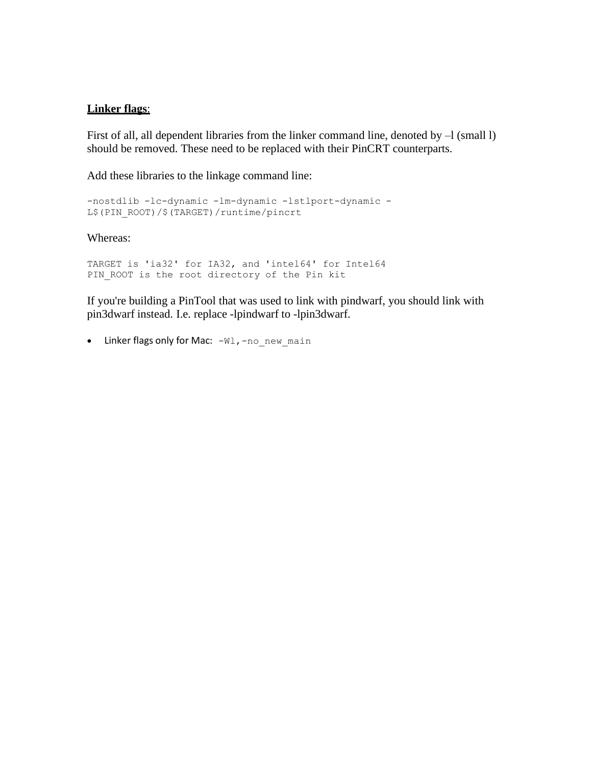### **Linker flags**:

First of all, all dependent libraries from the linker command line, denoted by  $-1$  (small 1) should be removed. These need to be replaced with their PinCRT counterparts.

Add these libraries to the linkage command line:

```
-nostdlib -lc-dynamic -lm-dynamic -lstlport-dynamic -
L$(PIN_ROOT)/$(TARGET)/runtime/pincrt
```
### Whereas:

```
TARGET is 'ia32' for IA32, and 'intel64' for Intel64
PIN ROOT is the root directory of the Pin kit
```
If you're building a PinTool that was used to link with pindwarf, you should link with pin3dwarf instead. I.e. replace -lpindwarf to -lpin3dwarf.

• Linker flags only for Mac:  $-W1$ , -no new main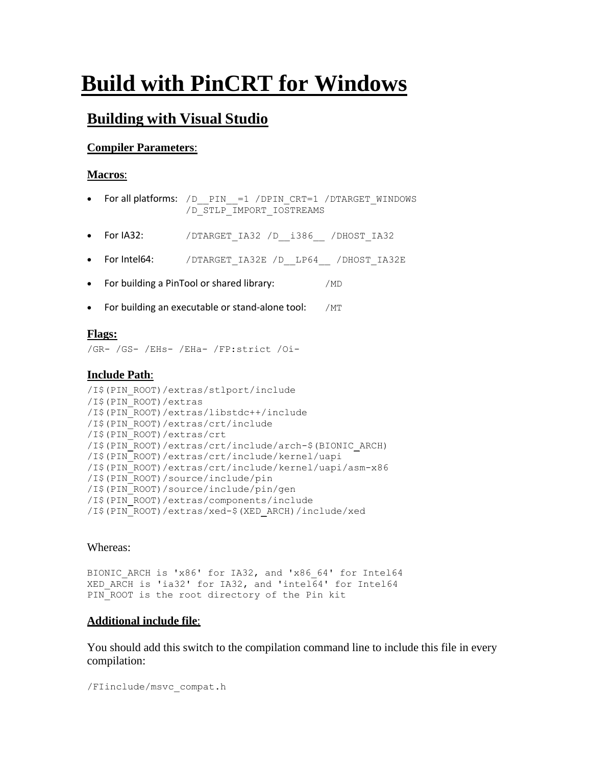# **Build with PinCRT for Windows**

# **Building with Visual Studio**

### **Compiler Parameters**:

### **Macros**:

- For all platforms: /D\_\_PIN\_\_=1 /DPIN\_CRT=1 /DTARGET\_WINDOWS /D\_STLP\_IMPORT\_IOSTREAMS
- For IA32: / DTARGET\_IA32 /D\_\_i386 / DHOST\_IA32
- For Intel64: / DTARGET\_IA32E /D\_ LP64 / DHOST\_IA32E
- For building a PinTool or shared library:  $\mu$ D
- For building an executable or stand-alone tool: /MT

### **Flags:**

/GR- /GS- /EHs- /EHa- /FP:strict /Oi-

### **Include Path**:

```
/I$(PIN_ROOT)/extras/stlport/include
/I$(PIN_ROOT)/extras
/I$(PIN_ROOT)/extras/libstdc++/include
/I$(PIN_ROOT)/extras/crt/include
/I$(PIN_ROOT)/extras/crt
/I$(PIN_ROOT)/extras/crt/include/arch-$(BIONIC_ARCH)
/I$(PIN_ROOT)/extras/crt/include/kernel/uapi
/I$(PIN_ROOT)/extras/crt/include/kernel/uapi/asm-x86
/I$(PIN_ROOT)/source/include/pin
/I$(PIN_ROOT)/source/include/pin/gen
/I$(PIN_ROOT)/extras/components/include
/I$(PIN_ROOT)/extras/xed-$(XED_ARCH)/include/xed
```
### Whereas:

BIONIC ARCH is 'x86' for IA32, and 'x86 64' for Intel64 XED\_ARCH is 'ia32' for IA32, and 'intel64' for Intel64 PIN ROOT is the root directory of the Pin kit

### **Additional include file**:

You should add this switch to the compilation command line to include this file in every compilation:

```
/FIinclude/msvc_compat.h
```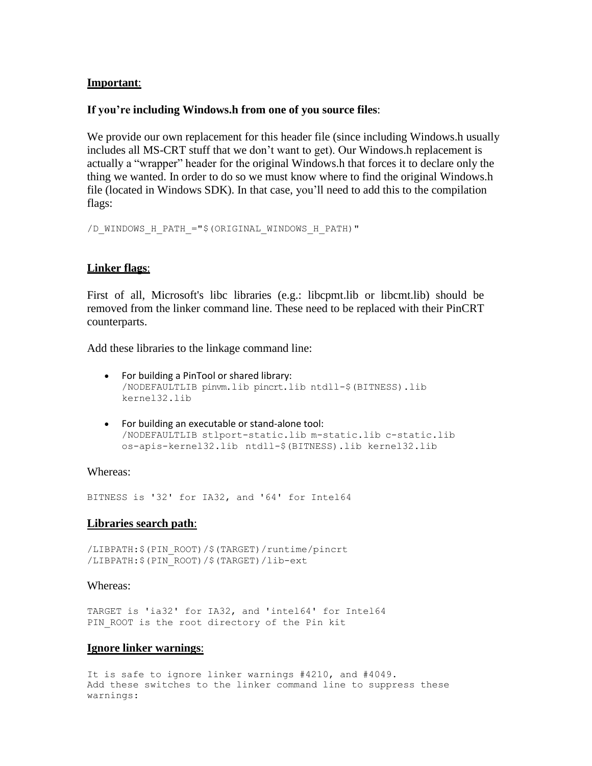### **Important**:

#### **If you're including Windows.h from one of you source files**:

We provide our own replacement for this header file (since including Windows.h usually includes all MS-CRT stuff that we don't want to get). Our Windows.h replacement is actually a "wrapper" header for the original Windows.h that forces it to declare only the thing we wanted. In order to do so we must know where to find the original Windows.h file (located in Windows SDK). In that case, you'll need to add this to the compilation flags:

/D\_WINDOWS\_H\_PATH\_="\$(ORIGINAL\_WINDOWS\_H\_PATH)"

### **Linker flags**:

First of all, Microsoft's libc libraries (e.g.: libcpmt.lib or libcmt.lib) should be removed from the linker command line. These need to be replaced with their PinCRT counterparts.

Add these libraries to the linkage command line:

- For building a PinTool or shared library: /NODEFAULTLIB pinvm.lib pincrt.lib ntdll-\$(BITNESS).lib kernel32.lib
- For building an executable or stand-alone tool: /NODEFAULTLIB stlport-static.lib m-static.lib c-static.lib os-apis-kernel32.lib ntdll-\$(BITNESS).lib kernel32.lib

#### Whereas:

BITNESS is '32' for IA32, and '64' for Intel64

### **Libraries search path**:

```
/LIBPATH:$(PIN_ROOT)/$(TARGET)/runtime/pincrt
/LIBPATH:$(PIN_ROOT)/$(TARGET)/lib-ext
```
#### Whereas:

TARGET is 'ia32' for IA32, and 'intel64' for Intel64 PIN ROOT is the root directory of the Pin kit

#### **Ignore linker warnings**:

It is safe to ignore linker warnings #4210, and #4049. Add these switches to the linker command line to suppress these warnings: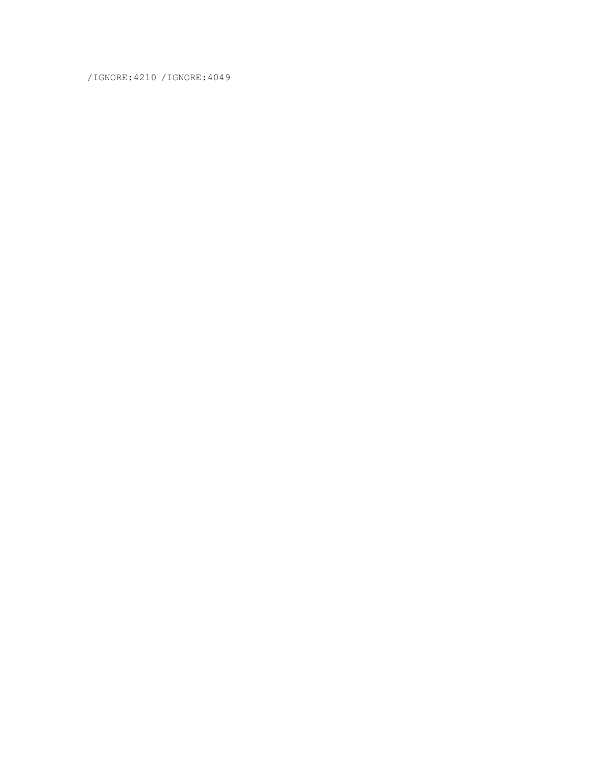/IGNORE:4210 /IGNORE:4049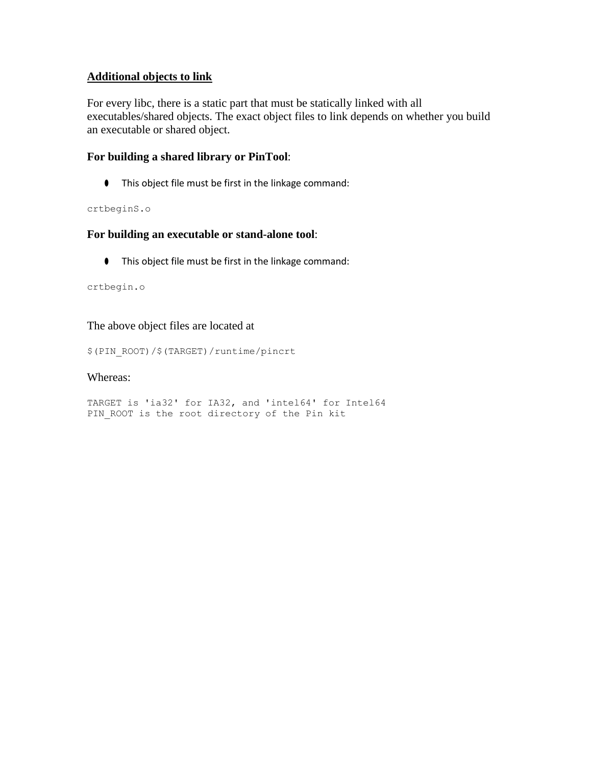### **Additional objects to link**

For every libc, there is a static part that must be statically linked with all executables/shared objects. The exact object files to link depends on whether you build an executable or shared object.

### **For building a shared library or PinTool**:

● This object file must be first in the linkage command:

#### crtbeginS.o

### **For building an executable or stand-alone tool**:

● This object file must be first in the linkage command:

#### crtbegin.o

### The above object files are located at

\$(PIN\_ROOT)/\$(TARGET)/runtime/pincrt

#### Whereas:

```
TARGET is 'ia32' for IA32, and 'intel64' for Intel64
PIN ROOT is the root directory of the Pin kit
```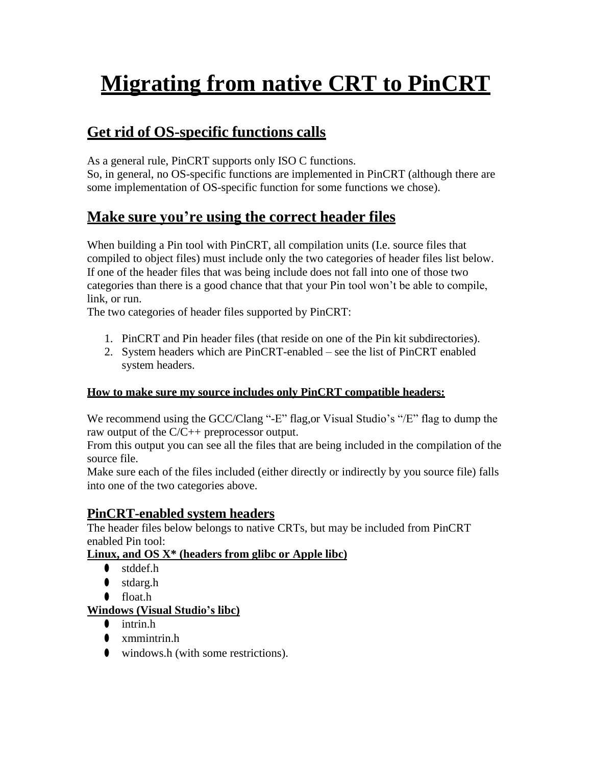# **Migrating from native CRT to PinCRT**

# **Get rid of OS-specific functions calls**

As a general rule, PinCRT supports only ISO C functions.

So, in general, no OS-specific functions are implemented in PinCRT (although there are some implementation of OS-specific function for some functions we chose).

# **Make sure you're using the correct header files**

When building a Pin tool with PinCRT, all compilation units (I.e. source files that compiled to object files) must include only the two categories of header files list below. If one of the header files that was being include does not fall into one of those two categories than there is a good chance that that your Pin tool won't be able to compile, link, or run.

The two categories of header files supported by PinCRT:

- 1. PinCRT and Pin header files (that reside on one of the Pin kit subdirectories).
- 2. System headers which are PinCRT-enabled see the list of PinCRT enabled system headers.

## **How to make sure my source includes only PinCRT compatible headers:**

We recommend using the GCC/Clang "-E" flag,or Visual Studio's "/E" flag to dump the raw output of the C/C++ preprocessor output.

From this output you can see all the files that are being included in the compilation of the source file.

Make sure each of the files included (either directly or indirectly by you source file) falls into one of the two categories above.

# **PinCRT-enabled system headers**

The header files below belongs to native CRTs, but may be included from PinCRT enabled Pin tool:

# **Linux, and OS X\* (headers from glibc or Apple libc)**

- stddef.h
- stdarg.h
- float.h

# **Windows (Visual Studio's libc)**

- intrin.h
- $\bullet$  xmmintrin.h
- windows.h (with some restrictions).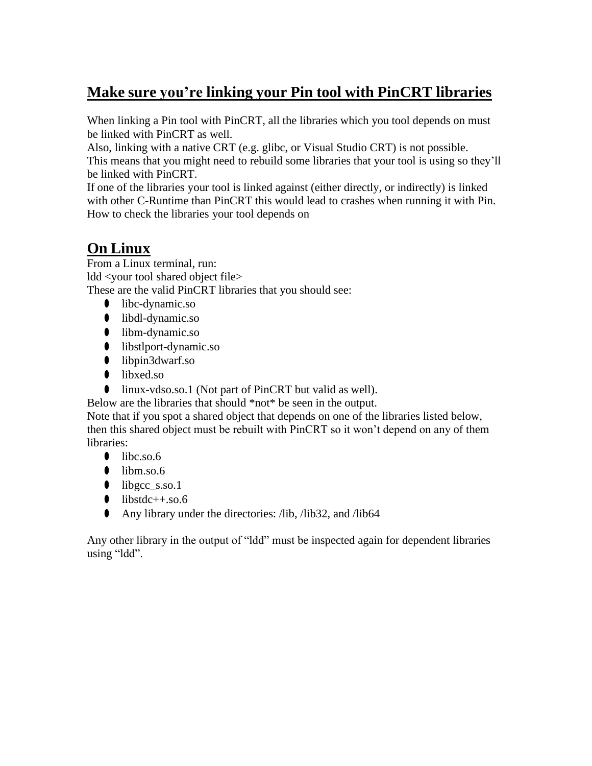# **Make sure you're linking your Pin tool with PinCRT libraries**

When linking a Pin tool with PinCRT, all the libraries which you tool depends on must be linked with PinCRT as well.

Also, linking with a native CRT (e.g. glibc, or Visual Studio CRT) is not possible. This means that you might need to rebuild some libraries that your tool is using so they'll be linked with PinCRT.

If one of the libraries your tool is linked against (either directly, or indirectly) is linked with other C-Runtime than PinCRT this would lead to crashes when running it with Pin. How to check the libraries your tool depends on

# **On Linux**

From a Linux terminal, run: ldd <your tool shared object file> These are the valid PinCRT libraries that you should see:

- libc-dynamic.so
- libdl-dynamic.so
- libm-dynamic.so
- libstlport-dynamic.so
- $\bullet$  libpin3dwarf.so
- libxed.so
- linux-vdso.so.1 (Not part of PinCRT but valid as well).

Below are the libraries that should \*not\* be seen in the output.

Note that if you spot a shared object that depends on one of the libraries listed below, then this shared object must be rebuilt with PinCRT so it won't depend on any of them libraries:

- $\bullet$  libc.so.6
- $\bullet$  libm.so.6
- $\bullet$  libgcc\_s.so.1
- $\bullet$  libstdc++.so.6
- Any library under the directories: /lib, /lib32, and /lib64

Any other library in the output of "ldd" must be inspected again for dependent libraries using "ldd".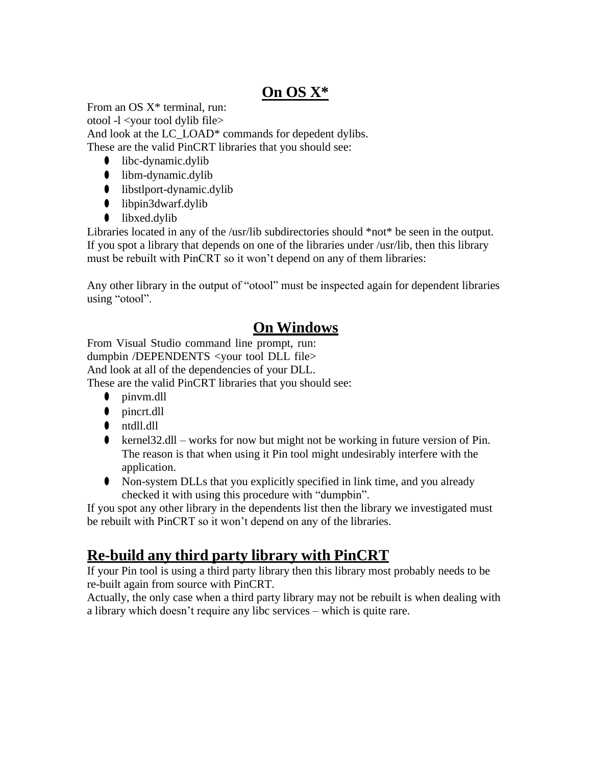# **On OS X\***

From an OS  $X^*$  terminal, run: otool -l <your tool dylib file> And look at the LC\_LOAD<sup>\*</sup> commands for depedent dylibs. These are the valid PinCRT libraries that you should see:

- $\bullet$  libc-dynamic.dylib
- libm-dynamic.dylib
- libstlport-dynamic.dylib
- libpin3dwarf.dylib
- libxed.dylib

Libraries located in any of the /usr/lib subdirectories should \*not\* be seen in the output. If you spot a library that depends on one of the libraries under /usr/lib, then this library must be rebuilt with PinCRT so it won't depend on any of them libraries:

Any other library in the output of "otool" must be inspected again for dependent libraries using "otool".

# **On Windows**

From Visual Studio command line prompt, run: dumpbin /DEPENDENTS <your tool DLL file> And look at all of the dependencies of your DLL. These are the valid PinCRT libraries that you should see:

- pinvm.dll
- pincrt.dll
- ntdll.dll
- $\bullet$  kernel 32.dll works for now but might not be working in future version of Pin. The reason is that when using it Pin tool might undesirably interfere with the application.
- Non-system DLLs that you explicitly specified in link time, and you already checked it with using this procedure with "dumpbin".

If you spot any other library in the dependents list then the library we investigated must be rebuilt with PinCRT so it won't depend on any of the libraries.

# **Re-build any third party library with PinCRT**

If your Pin tool is using a third party library then this library most probably needs to be re-built again from source with PinCRT.

Actually, the only case when a third party library may not be rebuilt is when dealing with a library which doesn't require any libc services – which is quite rare.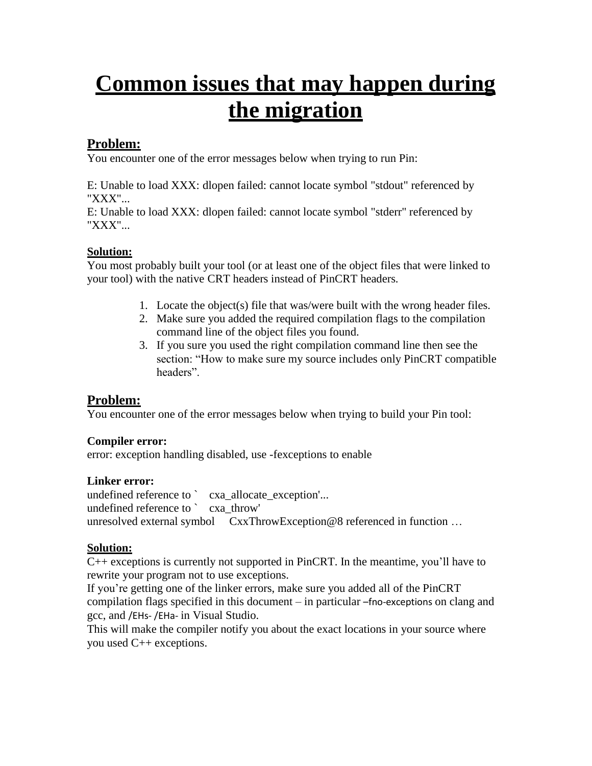# **Common issues that may happen during the migration**

# **Problem:**

You encounter one of the error messages below when trying to run Pin:

E: Unable to load XXX: dlopen failed: cannot locate symbol "stdout" referenced by "XXX"...

E: Unable to load XXX: dlopen failed: cannot locate symbol "stderr" referenced by "XXX"...

## **Solution:**

You most probably built your tool (or at least one of the object files that were linked to your tool) with the native CRT headers instead of PinCRT headers.

- 1. Locate the object(s) file that was/were built with the wrong header files.
- 2. Make sure you added the required compilation flags to the compilation command line of the object files you found.
- 3. If you sure you used the right compilation command line then see the section: "How to make sure my source includes only PinCRT compatible headers".

# **Problem:**

You encounter one of the error messages below when trying to build your Pin tool:

## **Compiler error:**

error: exception handling disabled, use -fexceptions to enable

## **Linker error:**

undefined reference to ` cxa\_allocate\_exception'... undefined reference to ` cxa\_throw' unresolved external symbol CxxThrowException@8 referenced in function ...

## **Solution:**

C++ exceptions is currently not supported in PinCRT. In the meantime, you'll have to rewrite your program not to use exceptions.

If you're getting one of the linker errors, make sure you added all of the PinCRT compilation flags specified in this document – in particular –fno-exceptions on clang and gcc, and /EHs- /EHa- in Visual Studio.

This will make the compiler notify you about the exact locations in your source where you used C++ exceptions.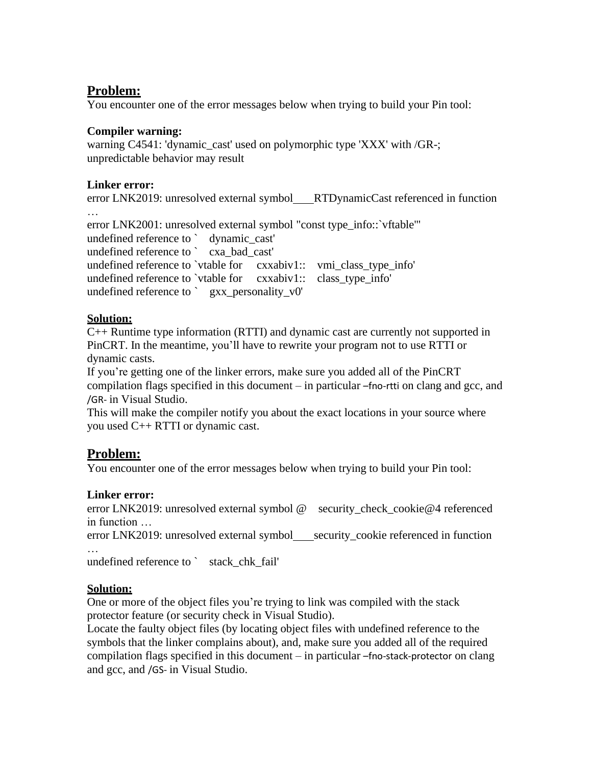# **Problem:**

You encounter one of the error messages below when trying to build your Pin tool:

# **Compiler warning:**

warning C4541: 'dynamic\_cast' used on polymorphic type 'XXX' with /GR-; unpredictable behavior may result

### **Linker error:**

error LNK2019: unresolved external symbol RTDynamicCast referenced in function

… error LNK2001: unresolved external symbol "const type\_info::`vftable'" undefined reference to ` dynamic\_cast' undefined reference to ` cxa\_bad\_cast' undefined reference to `vtable for cxxabiv1:: vmi\_class\_type\_info' undefined reference to `vtable for cxxabiv1:: class type info' undefined reference to ` gxx\_personality\_v0'

# **Solution:**

C++ Runtime type information (RTTI) and dynamic cast are currently not supported in PinCRT. In the meantime, you'll have to rewrite your program not to use RTTI or dynamic casts.

If you're getting one of the linker errors, make sure you added all of the PinCRT compilation flags specified in this document – in particular –fno-rtti on clang and gcc, and /GR- in Visual Studio.

This will make the compiler notify you about the exact locations in your source where you used C++ RTTI or dynamic cast.

# **Problem:**

You encounter one of the error messages below when trying to build your Pin tool:

## **Linker error:**

error LNK2019: unresolved external symbol @ security\_check\_cookie@4 referenced in function …

error LNK2019: unresolved external symbol security cookie referenced in function

… undefined reference to ` stack\_chk\_fail'

## **Solution:**

One or more of the object files you're trying to link was compiled with the stack protector feature (or security check in Visual Studio).

Locate the faulty object files (by locating object files with undefined reference to the symbols that the linker complains about), and, make sure you added all of the required compilation flags specified in this document – in particular –fno-stack-protector on clang and gcc, and /GS- in Visual Studio.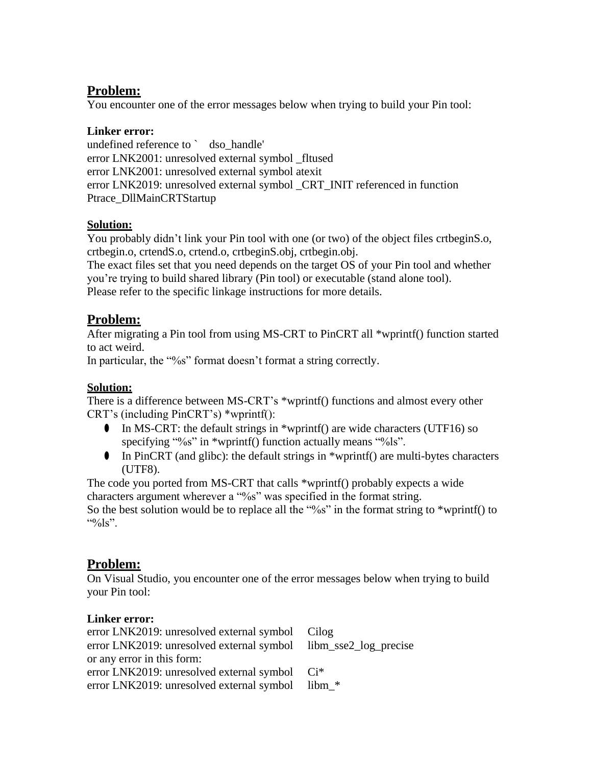# **Problem:**

You encounter one of the error messages below when trying to build your Pin tool:

# **Linker error:**

undefined reference to ` dso handle' error LNK2001: unresolved external symbol \_fltused error LNK2001: unresolved external symbol atexit error LNK2019: unresolved external symbol \_CRT\_INIT referenced in function Ptrace\_DllMainCRTStartup

# **Solution:**

You probably didn't link your Pin tool with one (or two) of the object files crtbeginS.o, crtbegin.o, crtendS.o, crtend.o, crtbeginS.obj, crtbegin.obj.

The exact files set that you need depends on the target OS of your Pin tool and whether you're trying to build shared library (Pin tool) or executable (stand alone tool). Please refer to the specific linkage instructions for more details.

# **Problem:**

After migrating a Pin tool from using MS-CRT to PinCRT all \*wprintf() function started to act weird.

In particular, the "%s" format doesn't format a string correctly.

# **Solution:**

There is a difference between MS-CRT's \*wprintf() functions and almost every other CRT's (including PinCRT's) \*wprintf():

- In MS-CRT: the default strings in \*wprintf() are wide characters (UTF16) so specifying "%s" in \*wprintf() function actually means "%ls".
- $\bullet$  In PinCRT (and glibc): the default strings in \*wprintf() are multi-bytes characters (UTF8).

The code you ported from MS-CRT that calls \*wprintf() probably expects a wide characters argument wherever a "%s" was specified in the format string.

So the best solution would be to replace all the "%s" in the format string to  $*$ wprintf() to "% $\log$ ".

# **Problem:**

On Visual Studio, you encounter one of the error messages below when trying to build your Pin tool:

# **Linker error:**

error LNK2019: unresolved external symbol Cilog error LNK2019: unresolved external symbol libm\_sse2\_log\_precise or any error in this form: error LNK2019: unresolved external symbol Ci\* error LNK2019: unresolved external symbol libm\_\*